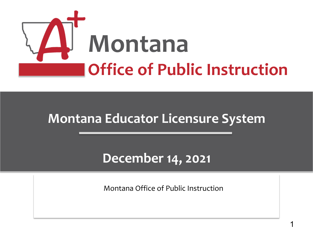

## **Montana Educator Licensure System**

### **December 14, 2021**

• Ashley McGrath, Assessment Director

Montana Office of Public Instruction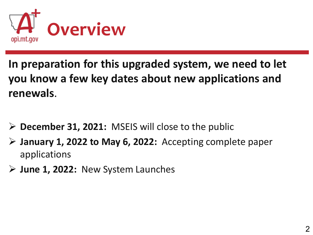

**In preparation for this upgraded system, we need to let you know a few key dates about new applications and renewals**.

- **December 31, 2021:** MSEIS will close to the public
- **January 1, 2022 to May 6, 2022:** Accepting complete paper applications
- **June 1, 2022:** New System Launches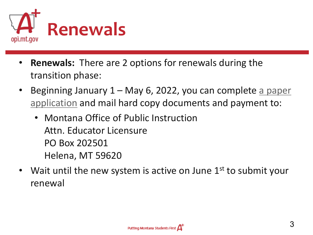

- **Renewals:** There are 2 options for renewals during the transition phase:
- Beginning January 1 May 6, 2022, you can complete a paper application [and mail hard copy documents and payment to:](https://opi.mt.gov/Portals/182/Page%20Files/Licensure/RenewalApplication.pdf?ver=2021-12-10-091601-713)
	- Montana Office of Public Instruction Attn. Educator Licensure PO Box 202501 Helena, MT 59620
- Wait until the new system is active on June  $1<sup>st</sup>$  to submit your renewal

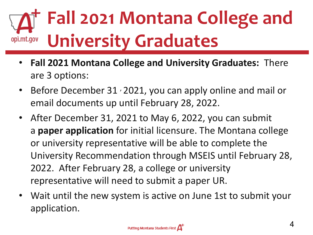## **Fall 2021 Montana College and University Graduates**opi.mt.gov

- **Fall 2021 Montana College and University Graduates:** There are 3 options:
- Before December 31, 2021, you can apply online and mail or email documents up until February 28, 2022.
- After December 31, 2021 to May 6, 2022, you can submit a **paper application** for initial licensure. The Montana college or university representative will be able to complete the University Recommendation through MSEIS until February 28, 2022. After February 28, a college or university representative will need to submit a paper UR.
- Wait until the new system is active on June 1st to submit your application.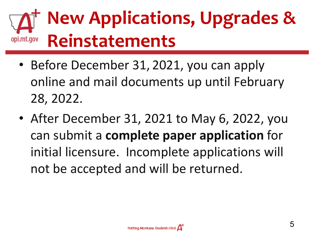## **New Applications, Upgrades & Reinstatements**opi.mt.gov

- Before December 31, 2021, you can apply online and mail documents up until February 28, 2022.
- After December 31, 2021 to May 6, 2022, you can submit a **complete paper application** for initial licensure. Incomplete applications will not be accepted and will be returned.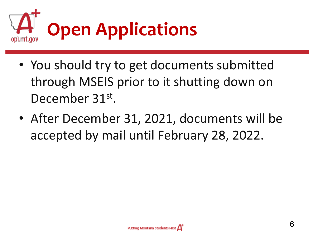

- You should try to get documents submitted through MSEIS prior to it shutting down on December 31st.
- After December 31, 2021, documents will be accepted by mail until February 28, 2022.

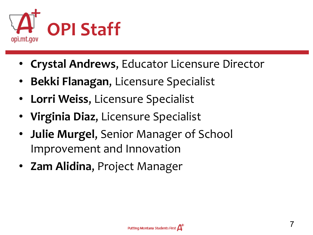

- **Crystal Andrews**, Educator Licensure Director
- **Bekki Flanagan**, Licensure Specialist
- **Lorri Weiss**, Licensure Specialist
- **Virginia Diaz**, Licensure Specialist
- **Julie Murgel**, Senior Manager of School Improvement and Innovation
- **Zam Alidina**, Project Manager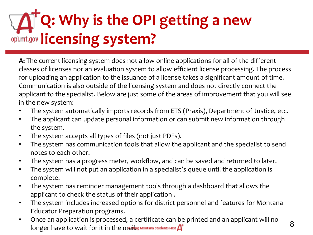# **Q: Why is the OPI getting a new**  opi.mt.gov licensing system?

**A:** The current licensing system does not allow online applications for all of the different classes of licenses nor an evaluation system to allow efficient license processing. The process for uploading an application to the issuance of a license takes a significant amount of time. Communication is also outside of the licensing system and does not directly connect the applicant to the specialist. Below are just some of the areas of improvement that you will see in the new system:

- The system automatically imports records from ETS (Praxis), Department of Justice, etc.
- The applicant can update personal information or can submit new information through the system.
- The system accepts all types of files (not just PDFs).
- The system has communication tools that allow the applicant and the specialist to send notes to each other.
- The system has a progress meter, workflow, and can be saved and returned to later.
- The system will not put an application in a specialist's queue until the application is complete.
- The system has reminder management tools through a dashboard that allows the applicant to check the status of their application .
- The system includes increased options for district personnel and features for Montana Educator Preparation programs.
- Once an application is processed, a certificate can be printed and an applicant will no In the main of the mail of the mail of the set of  $A^{\dagger}$  and an applicant will no and  $\theta$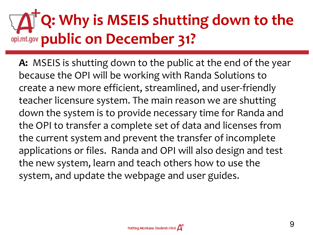# **Q: Why is MSEIS shutting down to the public on December 31?**

**A:** MSEIS is shutting down to the public at the end of the year because the OPI will be working with Randa Solutions to create a new more efficient, streamlined, and user-friendly teacher licensure system. The main reason we are shutting down the system is to provide necessary time for Randa and the OPI to transfer a complete set of data and licenses from the current system and prevent the transfer of incomplete applications or files. Randa and OPI will also design and test the new system, learn and teach others how to use the system, and update the webpage and user guides.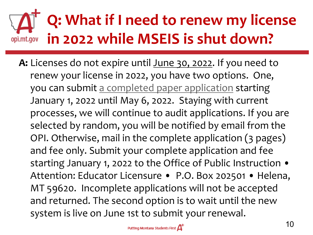#### **Q: What if I need to renew my license in 2022 while MSEIS is shut down?**  opi.mt.gov

**A:** Licenses do not expire until June 30, 2022. If you need to renew your license in 2022, you have two options. One, you can submit [a completed paper application](https://opi.mt.gov/Portals/182/Page%20Files/Licensure/RenewalApplication.pdf?ver=2021-12-10-091601-713) starting January 1, 2022 until May 6, 2022. Staying with current processes, we will continue to audit applications. If you are selected by random, you will be notified by email from the OPI. Otherwise, mail in the complete application (3 pages) and fee only. Submit your complete application and fee starting January 1, 2022 to the Office of Public Instruction . Attention: Educator Licensure • P.O. Box 202501 • Helena, MT 59620. Incomplete applications will not be accepted and returned. The second option is to wait until the new system is live on June 1st to submit your renewal.

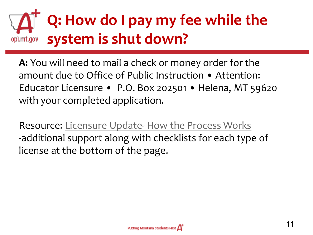### **Q: How do I pay my fee while the system is shut down?**opi.mt.gov

**A:** You will need to mail a check or money order for the amount due to Office of Public Instruction • Attention: Educator Licensure • P.O. Box 202501 • Helena, MT 59620 with your completed application.

Resource: Licensure Update- [How the Process Works](https://opi.mt.gov/Licensure-Process) -additional support along with checklists for each type of license at the bottom of the page.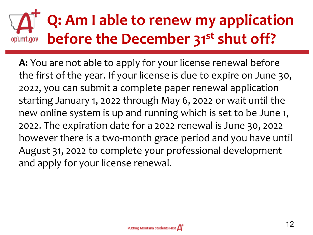#### **Q: Am I able to renew my application before the December 31st shut off?**opi.mt.gov

**A:** You are not able to apply for your license renewal before the first of the year. If your license is due to expire on June 30, 2022, you can submit a complete paper renewal application starting January 1, 2022 through May 6, 2022 or wait until the new online system is up and running which is set to be June 1, 2022. The expiration date for a 2022 renewal is June 30, 2022 however there is a two-month grace period and you have until August 31, 2022 to complete your professional development and apply for your license renewal.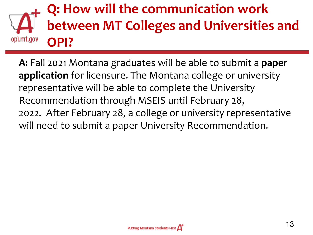#### **Q: How will the communication work between MT Colleges and Universities and**  opi.mt.gov **OPI?**

**A:** Fall 2021 Montana graduates will be able to submit a **paper application** for licensure. The Montana college or university representative will be able to complete the University Recommendation through MSEIS until February 28, 2022. After February 28, a college or university representative will need to submit a paper University Recommendation.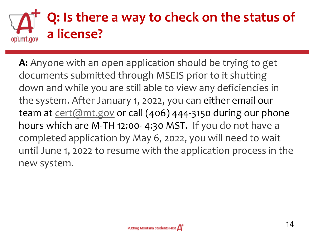#### **Q: Is there a way to check on the status of a license?**opi.mt.gov

**A:** Anyone with an open application should be trying to get documents submitted through MSEIS prior to it shutting down and while you are still able to view any deficiencies in the system. After January 1, 2022, you can either email our team at [cert@mt.gov](mailto:cert@mt.gov) or call (406) 444-3150 during our phone hours which are M-TH 12:00- 4:30 MST. If you do not have a completed application by May 6, 2022, you will need to wait until June 1, 2022 to resume with the application process in the new system.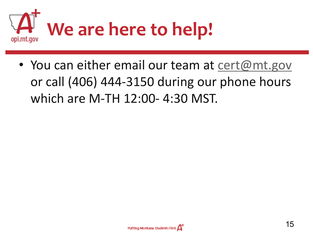

• You can either email our team at [cert@mt.gov](mailto:cert@mt.gov) or call (406) 444-3150 during our phone hours which are M-TH 12:00- 4:30 MST.